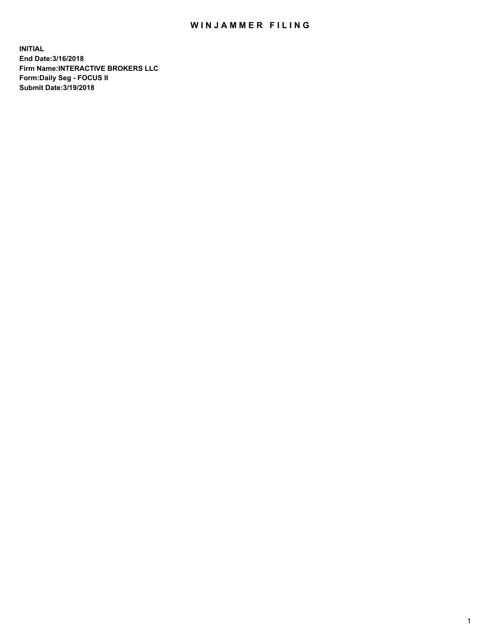## WIN JAMMER FILING

**INITIAL End Date:3/16/2018 Firm Name:INTERACTIVE BROKERS LLC Form:Daily Seg - FOCUS II Submit Date:3/19/2018**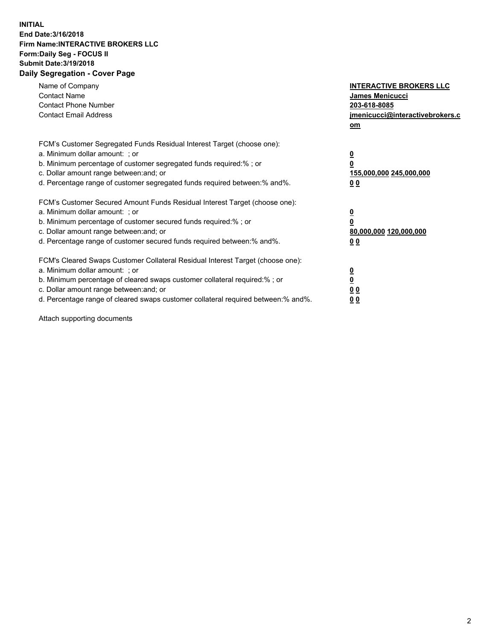## **INITIAL End Date:3/16/2018 Firm Name:INTERACTIVE BROKERS LLC Form:Daily Seg - FOCUS II Submit Date:3/19/2018 Daily Segregation - Cover Page**

| Name of Company<br><b>Contact Name</b><br><b>Contact Phone Number</b>                                                                                                                                                                                                                                                          | <b>INTERACTIVE BROKERS LLC</b><br><b>James Menicucci</b><br>203-618-8085                        |  |
|--------------------------------------------------------------------------------------------------------------------------------------------------------------------------------------------------------------------------------------------------------------------------------------------------------------------------------|-------------------------------------------------------------------------------------------------|--|
| <b>Contact Email Address</b>                                                                                                                                                                                                                                                                                                   | jmenicucci@interactivebrokers.c<br>om                                                           |  |
| FCM's Customer Segregated Funds Residual Interest Target (choose one):<br>a. Minimum dollar amount: ; or<br>b. Minimum percentage of customer segregated funds required:% ; or<br>c. Dollar amount range between: and; or<br>d. Percentage range of customer segregated funds required between:% and%.                         | $\overline{\mathbf{0}}$<br>$\overline{\mathbf{0}}$<br>155,000,000 245,000,000<br>0 <sub>0</sub> |  |
| FCM's Customer Secured Amount Funds Residual Interest Target (choose one):<br>a. Minimum dollar amount: ; or<br>b. Minimum percentage of customer secured funds required:%; or<br>c. Dollar amount range between: and; or<br>d. Percentage range of customer secured funds required between: % and %.                          | $\overline{\mathbf{0}}$<br>$\overline{\mathbf{0}}$<br>80,000,000 120,000,000<br>0 <sub>0</sub>  |  |
| FCM's Cleared Swaps Customer Collateral Residual Interest Target (choose one):<br>a. Minimum dollar amount: ; or<br>b. Minimum percentage of cleared swaps customer collateral required:% ; or<br>c. Dollar amount range between: and; or<br>d. Percentage range of cleared swaps customer collateral required between:% and%. | $\overline{\mathbf{0}}$<br>$\underline{\mathbf{0}}$<br>0 <sub>0</sub><br>0 <sup>0</sup>         |  |

Attach supporting documents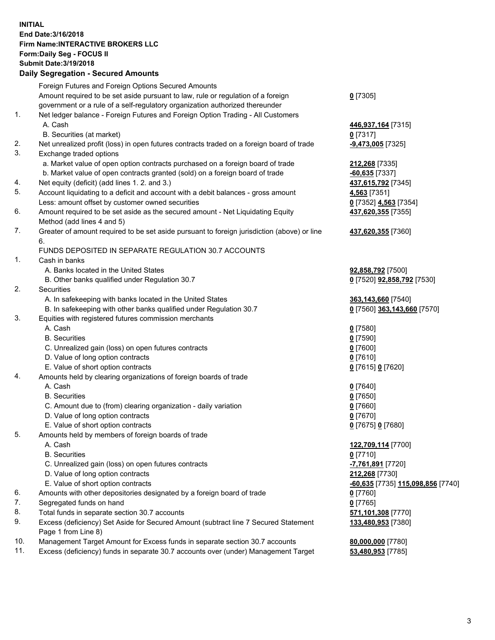## **INITIAL End Date:3/16/2018 Firm Name:INTERACTIVE BROKERS LLC Form:Daily Seg - FOCUS II Submit Date:3/19/2018 Daily Segregation - Secured Amounts**

|     | Daily Segregation - Secured Amounts                                                                        |                                   |
|-----|------------------------------------------------------------------------------------------------------------|-----------------------------------|
|     | Foreign Futures and Foreign Options Secured Amounts                                                        |                                   |
|     | Amount required to be set aside pursuant to law, rule or regulation of a foreign                           | $0$ [7305]                        |
|     | government or a rule of a self-regulatory organization authorized thereunder                               |                                   |
| 1.  | Net ledger balance - Foreign Futures and Foreign Option Trading - All Customers                            |                                   |
|     | A. Cash                                                                                                    | 446,937,164 [7315]                |
|     | B. Securities (at market)                                                                                  | $0$ [7317]                        |
| 2.  | Net unrealized profit (loss) in open futures contracts traded on a foreign board of trade                  | -9,473,005 [7325]                 |
| 3.  | Exchange traded options                                                                                    |                                   |
|     | a. Market value of open option contracts purchased on a foreign board of trade                             | 212,268 [7335]                    |
|     | b. Market value of open contracts granted (sold) on a foreign board of trade                               | $-60,635$ [7337]                  |
| 4.  | Net equity (deficit) (add lines 1.2. and 3.)                                                               | 437,615,792 [7345]                |
| 5.  | Account liquidating to a deficit and account with a debit balances - gross amount                          | 4,563 [7351]                      |
|     | Less: amount offset by customer owned securities                                                           | 0 [7352] 4,563 [7354]             |
| 6.  | Amount required to be set aside as the secured amount - Net Liquidating Equity                             | 437,620,355 [7355]                |
|     | Method (add lines 4 and 5)                                                                                 |                                   |
| 7.  | Greater of amount required to be set aside pursuant to foreign jurisdiction (above) or line                | 437,620,355 [7360]                |
|     | 6.                                                                                                         |                                   |
|     | FUNDS DEPOSITED IN SEPARATE REGULATION 30.7 ACCOUNTS                                                       |                                   |
| 1.  | Cash in banks                                                                                              |                                   |
|     | A. Banks located in the United States                                                                      | 92,858,792 [7500]                 |
|     | B. Other banks qualified under Regulation 30.7                                                             | 0 [7520] 92,858,792 [7530]        |
| 2.  | Securities                                                                                                 |                                   |
|     | A. In safekeeping with banks located in the United States                                                  | 363,143,660 [7540]                |
|     | B. In safekeeping with other banks qualified under Regulation 30.7                                         | 0 [7560] 363,143,660 [7570]       |
| 3.  | Equities with registered futures commission merchants                                                      |                                   |
|     | A. Cash                                                                                                    | $0$ [7580]                        |
|     | <b>B.</b> Securities                                                                                       | $0$ [7590]                        |
|     | C. Unrealized gain (loss) on open futures contracts                                                        | $0$ [7600]                        |
|     | D. Value of long option contracts                                                                          | $0$ [7610]                        |
|     | E. Value of short option contracts                                                                         | 0 [7615] 0 [7620]                 |
| 4.  | Amounts held by clearing organizations of foreign boards of trade                                          |                                   |
|     | A. Cash                                                                                                    | $0$ [7640]                        |
|     | <b>B.</b> Securities                                                                                       | $0$ [7650]                        |
|     | C. Amount due to (from) clearing organization - daily variation                                            | $0$ [7660]                        |
|     | D. Value of long option contracts                                                                          | $0$ [7670]                        |
|     | E. Value of short option contracts                                                                         | 0 [7675] 0 [7680]                 |
| 5.  | Amounts held by members of foreign boards of trade                                                         |                                   |
|     | A. Cash                                                                                                    | 122,709,114 [7700]                |
|     | <b>B.</b> Securities                                                                                       | $0$ [7710]                        |
|     | C. Unrealized gain (loss) on open futures contracts                                                        | 7,761,891 [7720]                  |
|     | D. Value of long option contracts                                                                          | 212,268 [7730]                    |
|     | E. Value of short option contracts                                                                         | -60,635 [7735] 115,098,856 [7740] |
| 6.  | Amounts with other depositories designated by a foreign board of trade                                     | 0 [7760]                          |
| 7.  | Segregated funds on hand                                                                                   | $0$ [7765]                        |
| 8.  | Total funds in separate section 30.7 accounts                                                              | 571,101,308 [7770]                |
| 9.  | Excess (deficiency) Set Aside for Secured Amount (subtract line 7 Secured Statement<br>Page 1 from Line 8) | 133,480,953 [7380]                |
| 10. | Management Target Amount for Excess funds in separate section 30.7 accounts                                | 80,000,000 [7780]                 |
| 11. | Excess (deficiency) funds in separate 30.7 accounts over (under) Management Target                         | 53,480,953 [7785]                 |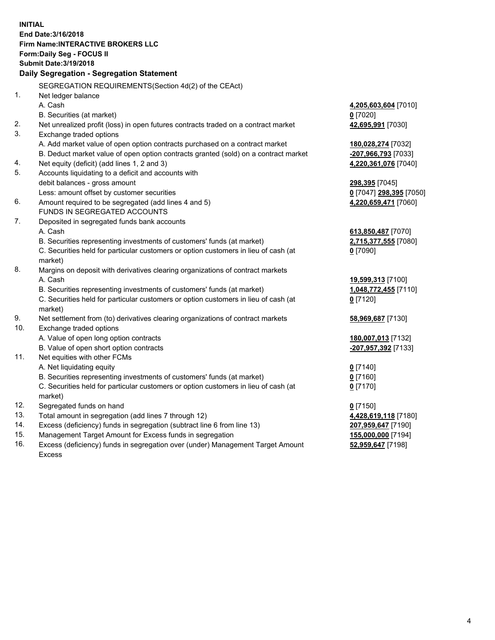**INITIAL End Date:3/16/2018 Firm Name:INTERACTIVE BROKERS LLC Form:Daily Seg - FOCUS II Submit Date:3/19/2018 Daily Segregation - Segregation Statement** SEGREGATION REQUIREMENTS(Section 4d(2) of the CEAct) 1. Net ledger balance A. Cash **4,205,603,604** [7010] B. Securities (at market) **0** [7020] 2. Net unrealized profit (loss) in open futures contracts traded on a contract market **42,695,991** [7030] 3. Exchange traded options A. Add market value of open option contracts purchased on a contract market **180,028,274** [7032] B. Deduct market value of open option contracts granted (sold) on a contract market **-207,966,793** [7033] 4. Net equity (deficit) (add lines 1, 2 and 3) **4,220,361,076** [7040] 5. Accounts liquidating to a deficit and accounts with debit balances - gross amount **298,395** [7045] Less: amount offset by customer securities **0** [7047] **298,395** [7050] 6. Amount required to be segregated (add lines 4 and 5) **4,220,659,471** [7060] FUNDS IN SEGREGATED ACCOUNTS 7. Deposited in segregated funds bank accounts A. Cash **613,850,487** [7070] B. Securities representing investments of customers' funds (at market) **2,715,377,555** [7080] C. Securities held for particular customers or option customers in lieu of cash (at market) **0** [7090] 8. Margins on deposit with derivatives clearing organizations of contract markets A. Cash **19,599,313** [7100] B. Securities representing investments of customers' funds (at market) **1,048,772,455** [7110] C. Securities held for particular customers or option customers in lieu of cash (at market) **0** [7120] 9. Net settlement from (to) derivatives clearing organizations of contract markets **58,969,687** [7130] 10. Exchange traded options A. Value of open long option contracts **180,007,013** [7132] B. Value of open short option contracts **-207,957,392** [7133] 11. Net equities with other FCMs A. Net liquidating equity **0** [7140] B. Securities representing investments of customers' funds (at market) **0** [7160] C. Securities held for particular customers or option customers in lieu of cash (at market) **0** [7170] 12. Segregated funds on hand **0** [7150] 13. Total amount in segregation (add lines 7 through 12) **4,428,619,118** [7180] 14. Excess (deficiency) funds in segregation (subtract line 6 from line 13) **207,959,647** [7190] 15. Management Target Amount for Excess funds in segregation **155,000,000** [7194]

16. Excess (deficiency) funds in segregation over (under) Management Target Amount Excess

**52,959,647** [7198]